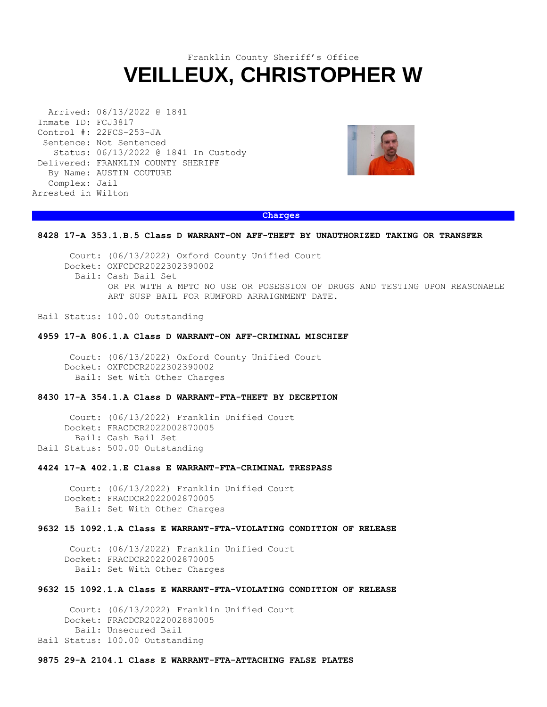# Franklin County Sheriff's Office **VEILLEUX, CHRISTOPHER W**

Arrived: 06/13/2022 @ 1841 Inmate ID: FCJ3817 Control #: 22FCS-253-JA Sentence: Not Sentenced Status: 06/13/2022 @ 1841 In Custody Delivered: FRANKLIN COUNTY SHERIFF By Name: AUSTIN COUTURE Complex: Jail Arrested in Wilton



## **Charges and Charges and Charges and Charges and Charges and Charges and Charges and Charges and Charges**

### **8428 17-A 353.1.B.5 Class D WARRANT-ON AFF-THEFT BY UNAUTHORIZED TAKING OR TRANSFER**

 Court: (06/13/2022) Oxford County Unified Court Docket: OXFCDCR2022302390002 Bail: Cash Bail Set OR PR WITH A MPTC NO USE OR POSESSION OF DRUGS AND TESTING UPON REASONABLE ART SUSP BAIL FOR RUMFORD ARRAIGNMENT DATE.

Bail Status: 100.00 Outstanding

#### **4959 17-A 806.1.A Class D WARRANT-ON AFF-CRIMINAL MISCHIEF**

 Court: (06/13/2022) Oxford County Unified Court Docket: OXFCDCR2022302390002 Bail: Set With Other Charges

# **8430 17-A 354.1.A Class D WARRANT-FTA-THEFT BY DECEPTION**

 Court: (06/13/2022) Franklin Unified Court Docket: FRACDCR2022002870005 Bail: Cash Bail Set Bail Status: 500.00 Outstanding

### **4424 17-A 402.1.E Class E WARRANT-FTA-CRIMINAL TRESPASS**

 Court: (06/13/2022) Franklin Unified Court Docket: FRACDCR2022002870005 Bail: Set With Other Charges

## **9632 15 1092.1.A Class E WARRANT-FTA-VIOLATING CONDITION OF RELEASE**

 Court: (06/13/2022) Franklin Unified Court Docket: FRACDCR2022002870005 Bail: Set With Other Charges

## **9632 15 1092.1.A Class E WARRANT-FTA-VIOLATING CONDITION OF RELEASE**

 Court: (06/13/2022) Franklin Unified Court Docket: FRACDCR2022002880005 Bail: Unsecured Bail Bail Status: 100.00 Outstanding

#### **9875 29-A 2104.1 Class E WARRANT-FTA-ATTACHING FALSE PLATES**